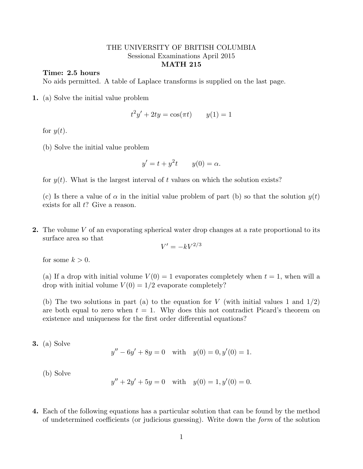## THE UNIVERSITY OF BRITISH COLUMBIA Sessional Examinations April 2015 MATH 215

## Time: 2.5 hours

No aids permitted. A table of Laplace transforms is supplied on the last page.

1. (a) Solve the initial value problem

$$
t^2y' + 2ty = \cos(\pi t) \qquad y(1) = 1
$$

for  $y(t)$ .

(b) Solve the initial value problem

$$
y' = t + y^2 t \qquad y(0) = \alpha.
$$

for  $y(t)$ . What is the largest interval of t values on which the solution exists?

(c) Is there a value of  $\alpha$  in the initial value problem of part (b) so that the solution  $y(t)$ exists for all  $t$ ? Give a reason.

2. The volume V of an evaporating spherical water drop changes at a rate proportional to its surface area so that

$$
V' = -kV^{2/3}
$$

for some  $k > 0$ .

(a) If a drop with initial volume  $V(0) = 1$  evaporates completely when  $t = 1$ , when will a drop with initial volume  $V(0) = 1/2$  evaporate completely?

(b) The two solutions in part (a) to the equation for V (with initial values 1 and  $1/2$ ) are both equal to zero when  $t = 1$ . Why does this not contradict Picard's theorem on existence and uniqueness for the first order differential equations?

3. (a) Solve

$$
y'' - 6y' + 8y = 0 \quad \text{with} \quad y(0) = 0, y'(0) = 1.
$$

(b) Solve

$$
y'' + 2y' + 5y = 0 \quad \text{with} \quad y(0) = 1, y'(0) = 0.
$$

4. Each of the following equations has a particular solution that can be found by the method of undetermined coefficients (or judicious guessing). Write down the form of the solution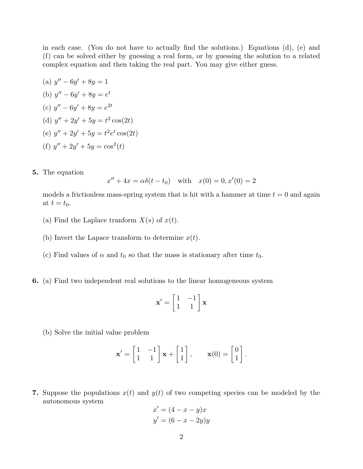in each case. (You do not have to actually find the solutions.) Equations (d), (e) and (f) can be solved either by guessing a real form, or by guessing the solution to a related complex equation and then taking the real part. You may give either guess.

- (a)  $y'' 6y' + 8y = 1$ (b)  $y'' - 6y' + 8y = e^t$ (c)  $y'' - 6y' + 8y = e^{2t}$ (d)  $y'' + 2y' + 5y = t^2 \cos(2t)$ (e)  $y'' + 2y' + 5y = t^2 e^t \cos(2t)$ (f)  $y'' + 2y' + 5y = cos<sup>2</sup>(t)$
- 5. The equation

$$
x'' + 4x = \alpha \delta(t - t_0) \quad \text{with} \quad x(0) = 0, x'(0) = 2
$$

models a frictionless mass-spring system that is hit with a hammer at time  $t = 0$  and again at  $t = t_0$ .

- (a) Find the Laplace tranform  $X(s)$  of  $x(t)$ .
- (b) Invert the Lapace transform to determine  $x(t)$ .
- (c) Find values of  $\alpha$  and  $t_0$  so that the mass is stationary after time  $t_0$ .
- 6. (a) Find two independent real solutions to the linear homogeneous system

$$
\mathbf{x}' = \begin{bmatrix} 1 & -1 \\ 1 & 1 \end{bmatrix} \mathbf{x}
$$

(b) Solve the initial value problem

$$
\mathbf{x}' = \begin{bmatrix} 1 & -1 \\ 1 & 1 \end{bmatrix} \mathbf{x} + \begin{bmatrix} 1 \\ 1 \end{bmatrix}, \qquad \mathbf{x}(0) = \begin{bmatrix} 0 \\ 1 \end{bmatrix}.
$$

7. Suppose the populations  $x(t)$  and  $y(t)$  of two competing species can be modeled by the autonomous system

$$
x' = (4 - x - y)x
$$

$$
y' = (6 - x - 2y)y
$$